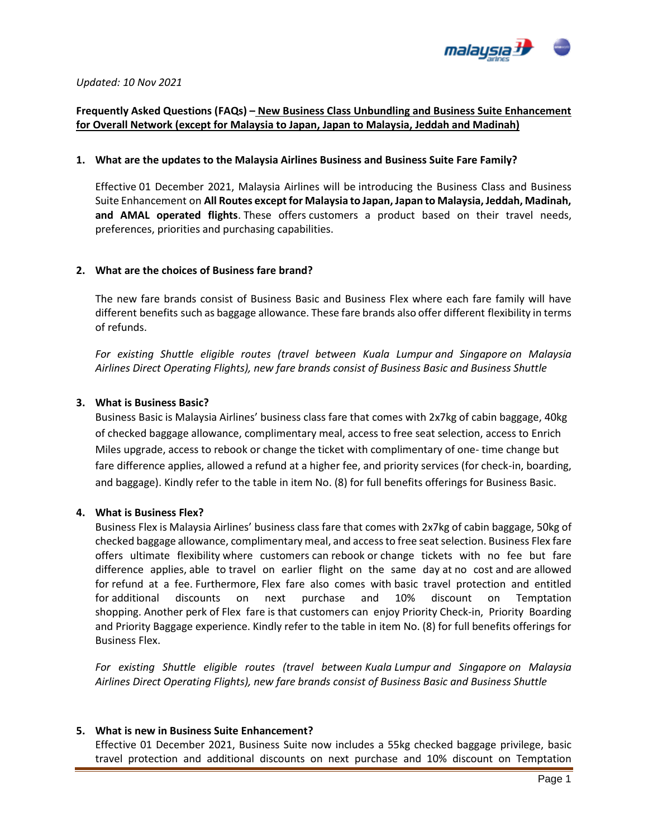

#### *Updated: 10 Nov 2021*

# **Frequently Asked Questions (FAQs) – New Business Class Unbundling and Business Suite Enhancement for Overall Network (except for Malaysia to Japan, Japan to Malaysia, Jeddah and Madinah)**

### **1. What are the updates to the Malaysia Airlines Business and Business Suite Fare Family?**

Effective 01 December 2021, Malaysia Airlines will be introducing the Business Class and Business Suite Enhancement on **All Routes except for Malaysia to Japan, Japan to Malaysia, Jeddah, Madinah, and AMAL operated flights**. These offers customers a product based on their travel needs, preferences, priorities and purchasing capabilities.

### **2. What are the choices of Business fare brand?**

The new fare brands consist of Business Basic and Business Flex where each fare family will have different benefits such as baggage allowance. These fare brands also offer different flexibility in terms of refunds.

*For existing Shuttle eligible routes (travel between Kuala Lumpur and Singapore on Malaysia Airlines Direct Operating Flights), new fare brands consist of Business Basic and Business Shuttle*

### **3. What is Business Basic?**

Business Basic is Malaysia Airlines' business class fare that comes with 2x7kg of cabin baggage, 40kg of checked baggage allowance, complimentary meal, access to free seat selection, access to Enrich Miles upgrade, access to rebook or change the ticket with complimentary of one- time change but fare difference applies, allowed a refund at a higher fee, and priority services (for check-in, boarding, and baggage). Kindly refer to the table in item No. (8) for full benefits offerings for Business Basic.

# **4. What is Business Flex?**

Business Flex is Malaysia Airlines' business class fare that comes with 2x7kg of cabin baggage, 50kg of checked baggage allowance, complimentary meal, and access to free seat selection. Business Flex fare offers ultimate flexibility where customers can rebook or change tickets with no fee but fare difference applies, able to travel on earlier flight on the same day at no cost and are allowed for refund at a fee. Furthermore, Flex fare also comes with basic travel protection and entitled for additional discounts on next purchase and 10% discount on Temptation shopping. Another perk of Flex fare is that customers can enjoy Priority Check-in, Priority Boarding and Priority Baggage experience. Kindly refer to the table in item No. (8) for full benefits offerings for Business Flex.

*For existing Shuttle eligible routes (travel between Kuala Lumpur and Singapore on Malaysia Airlines Direct Operating Flights), new fare brands consist of Business Basic and Business Shuttle*

#### **5. What is new in Business Suite Enhancement?**

Effective 01 December 2021, Business Suite now includes a 55kg checked baggage privilege, basic travel protection and additional discounts on next purchase and 10% discount on Temptation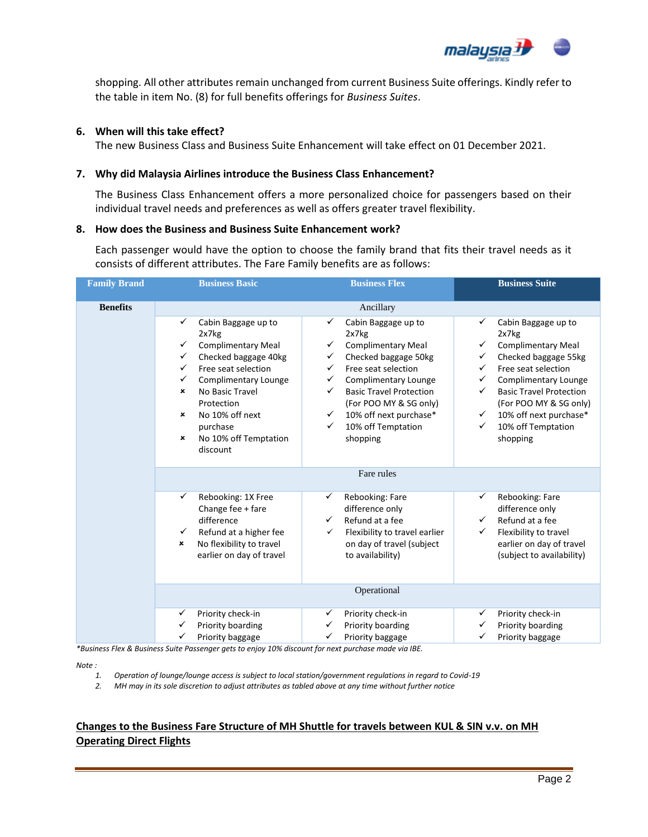

shopping. All other attributes remain unchanged from current Business Suite offerings. Kindly refer to the table in item No. (8) for full benefits offerings for *Business Suites*.

#### **6. When will this take effect?**

The new Business Class and Business Suite Enhancement will take effect on 01 December 2021.

### **7. Why did Malaysia Airlines introduce the Business Class Enhancement?**

The Business Class Enhancement offers a more personalized choice for passengers based on their individual travel needs and preferences as well as offers greater travel flexibility.

#### **8. How does the Business and Business Suite Enhancement work?**

Each passenger would have the option to choose the family brand that fits their travel needs as it consists of different attributes. The Fare Family benefits are as follows:

| <b>Family Brand</b> | <b>Business Basic</b>                                                                                                                                                                                                                                                         | <b>Business Flex</b>                                                                                                                                                                                                                                                                                                              | <b>Business Suite</b>                                                                                                                                                                                                                                                                            |  |
|---------------------|-------------------------------------------------------------------------------------------------------------------------------------------------------------------------------------------------------------------------------------------------------------------------------|-----------------------------------------------------------------------------------------------------------------------------------------------------------------------------------------------------------------------------------------------------------------------------------------------------------------------------------|--------------------------------------------------------------------------------------------------------------------------------------------------------------------------------------------------------------------------------------------------------------------------------------------------|--|
| <b>Benefits</b>     | Ancillary                                                                                                                                                                                                                                                                     |                                                                                                                                                                                                                                                                                                                                   |                                                                                                                                                                                                                                                                                                  |  |
|                     | ✓<br>Cabin Baggage up to<br>2x7kg<br><b>Complimentary Meal</b><br>✓<br>Checked baggage 40kg<br>✓<br>Free seat selection<br>✓<br>Complimentary Lounge<br>✓<br>No Basic Travel<br>×<br>Protection<br>No 10% off next<br>×<br>purchase<br>No 10% off Temptation<br>×<br>discount | Cabin Baggage up to<br>✓<br>2x7kg<br><b>Complimentary Meal</b><br>✓<br>Checked baggage 50kg<br>$\checkmark$<br>Free seat selection<br>✓<br>Complimentary Lounge<br>✓<br><b>Basic Travel Protection</b><br>✓<br>(For POO MY & SG only)<br>10% off next purchase*<br>$\checkmark$<br>10% off Temptation<br>$\checkmark$<br>shopping | ✓<br>Cabin Baggage up to<br>2x7kg<br><b>Complimentary Meal</b><br>✓<br>Checked baggage 55kg<br>✓<br>Free seat selection<br>✓<br>Complimentary Lounge<br>✓<br><b>Basic Travel Protection</b><br>✓<br>(For POO MY & SG only)<br>10% off next purchase*<br>✓<br>10% off Temptation<br>✓<br>shopping |  |
|                     | Fare rules                                                                                                                                                                                                                                                                    |                                                                                                                                                                                                                                                                                                                                   |                                                                                                                                                                                                                                                                                                  |  |
|                     | ✓<br>Rebooking: 1X Free<br>Change fee + fare<br>difference<br>Refund at a higher fee<br>$\checkmark$<br>No flexibility to travel<br>×<br>earlier on day of travel                                                                                                             | Rebooking: Fare<br>✓<br>difference only<br>Refund at a fee<br>$\checkmark$<br>Flexibility to travel earlier<br>✓<br>on day of travel (subject<br>to availability)                                                                                                                                                                 | Rebooking: Fare<br>✓<br>difference only<br>Refund at a fee<br>✓<br>Flexibility to travel<br>✓<br>earlier on day of travel<br>(subject to availability)                                                                                                                                           |  |
|                     | Operational                                                                                                                                                                                                                                                                   |                                                                                                                                                                                                                                                                                                                                   |                                                                                                                                                                                                                                                                                                  |  |
|                     | Priority check-in<br>✓<br>Priority boarding<br>Priority baggage                                                                                                                                                                                                               | Priority check-in<br>✓<br>Priority boarding<br>Priority baggage<br>✓                                                                                                                                                                                                                                                              | Priority check-in<br>✓<br>Priority boarding<br>✓<br>✓<br>Priority baggage                                                                                                                                                                                                                        |  |

*\*Business Flex & Business Suite Passenger gets to enjoy 10% discount for next purchase made via IBE.*

*Note :* 

*1. Operation of lounge/lounge access is subject to local station/government regulations in regard to Covid-19*

*2. MH may in its sole discretion to adjust attributes as tabled above at any time without further notice*

# **Changes to the Business Fare Structure of MH Shuttle for travels between KUL & SIN v.v. on MH Operating Direct Flights**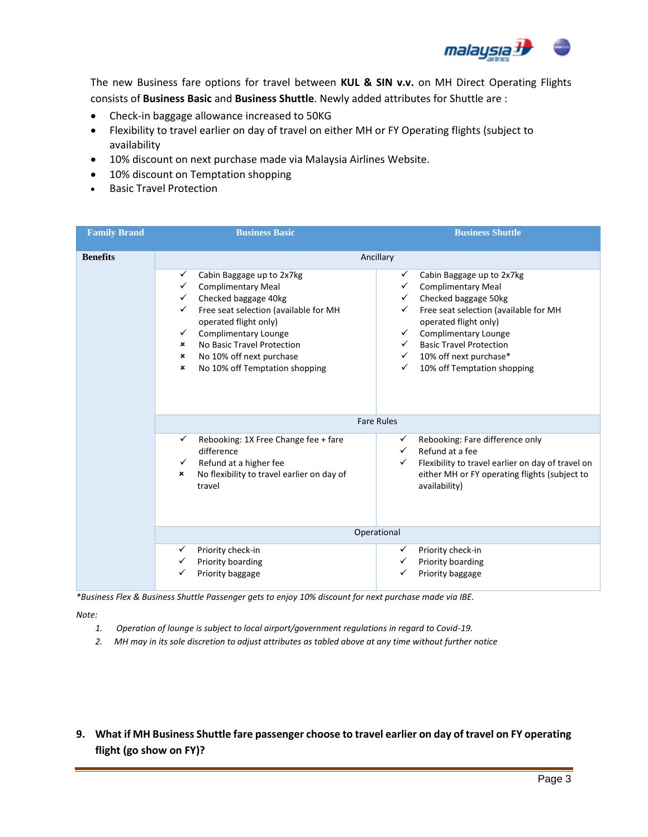

The new Business fare options for travel between **KUL & SIN v.v.** on MH Direct Operating Flights consists of **Business Basic** and **Business Shuttle**. Newly added attributes for Shuttle are :

- Check-in baggage allowance increased to 50KG
- Flexibility to travel earlier on day of travel on either MH or FY Operating flights (subject to availability
- 10% discount on next purchase made via Malaysia Airlines Website.
- 10% discount on Temptation shopping
- Basic Travel Protection

| <b>Family Brand</b> | <b>Business Basic</b>                                                                                                                                                                                                                                                                                              | <b>Business Shuttle</b>                                                                                                                                                                                                                                                                                 |  |  |
|---------------------|--------------------------------------------------------------------------------------------------------------------------------------------------------------------------------------------------------------------------------------------------------------------------------------------------------------------|---------------------------------------------------------------------------------------------------------------------------------------------------------------------------------------------------------------------------------------------------------------------------------------------------------|--|--|
| <b>Benefits</b>     | Ancillary                                                                                                                                                                                                                                                                                                          |                                                                                                                                                                                                                                                                                                         |  |  |
|                     | $\checkmark$<br>Cabin Baggage up to 2x7kg<br><b>Complimentary Meal</b><br>Checked baggage 40kg<br>✓<br>Free seat selection (available for MH<br>✓<br>operated flight only)<br>Complimentary Lounge<br>✓<br>No Basic Travel Protection<br>×<br>No 10% off next purchase<br>×<br>No 10% off Temptation shopping<br>× | $\checkmark$<br>Cabin Baggage up to 2x7kg<br><b>Complimentary Meal</b><br>Checked baggage 50kg<br>✓<br>Free seat selection (available for MH<br>operated flight only)<br>Complimentary Lounge<br>✓<br><b>Basic Travel Protection</b><br>10% off next purchase*<br>✓<br>10% off Temptation shopping<br>✓ |  |  |
|                     |                                                                                                                                                                                                                                                                                                                    | <b>Fare Rules</b>                                                                                                                                                                                                                                                                                       |  |  |
|                     | Rebooking: 1X Free Change fee + fare<br>✓<br>difference<br>Refund at a higher fee<br>✓<br>No flexibility to travel earlier on day of<br>×<br>travel                                                                                                                                                                | Rebooking: Fare difference only<br>✓<br>Refund at a fee<br>✓<br>Flexibility to travel earlier on day of travel on<br>✓<br>either MH or FY operating flights (subject to<br>availability)                                                                                                                |  |  |
|                     | Operational                                                                                                                                                                                                                                                                                                        |                                                                                                                                                                                                                                                                                                         |  |  |
|                     | Priority check-in<br>✓<br>Priority boarding<br>✓<br>Priority baggage                                                                                                                                                                                                                                               | Priority check-in<br>✓<br>Priority boarding<br>✓<br>Priority baggage                                                                                                                                                                                                                                    |  |  |

*\*Business Flex & Business Shuttle Passenger gets to enjoy 10% discount for next purchase made via IBE.*

*Note:*

- *1. Operation of lounge is subject to local airport/government regulations in regard to Covid-19.*
- *2. MH may in its sole discretion to adjust attributes as tabled above at any time without further notice*
- **9. What if MH Business Shuttle fare passenger choose to travel earlier on day of travel on FY operating flight (go show on FY)?**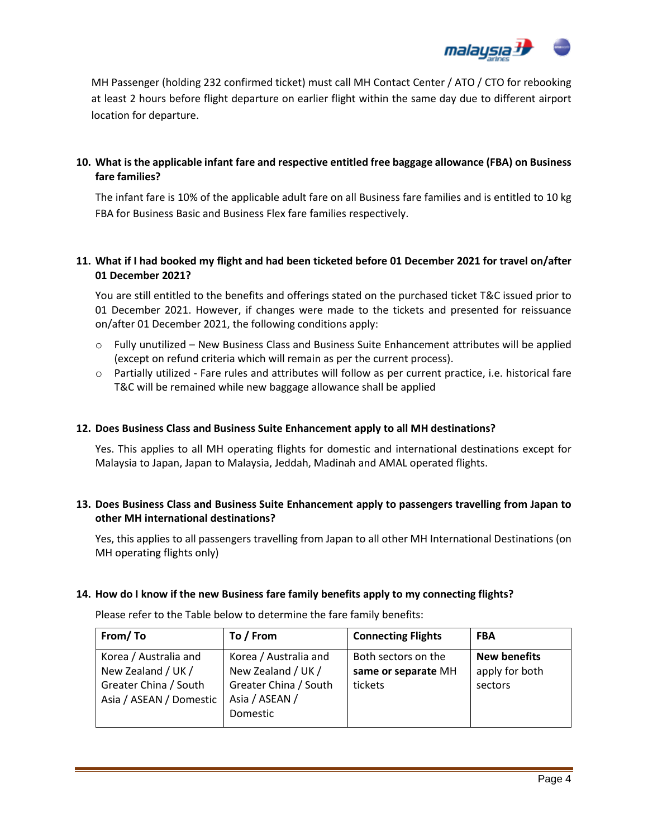

MH Passenger (holding 232 confirmed ticket) must call MH Contact Center / ATO / CTO for rebooking at least 2 hours before flight departure on earlier flight within the same day due to different airport location for departure.

# **10. What is the applicable infant fare and respective entitled free baggage allowance (FBA) on Business fare families?**

The infant fare is 10% of the applicable adult fare on all Business fare families and is entitled to 10 kg FBA for Business Basic and Business Flex fare families respectively.

# **11. What if I had booked my flight and had been ticketed before 01 December 2021 for travel on/after 01 December 2021?**

You are still entitled to the benefits and offerings stated on the purchased ticket T&C issued prior to 01 December 2021. However, if changes were made to the tickets and presented for reissuance on/after 01 December 2021, the following conditions apply:

- $\circ$  Fully unutilized New Business Class and Business Suite Enhancement attributes will be applied (except on refund criteria which will remain as per the current process).
- o Partially utilized Fare rules and attributes will follow as per current practice, i.e. historical fare T&C will be remained while new baggage allowance shall be applied

# **12. Does Business Class and Business Suite Enhancement apply to all MH destinations?**

Yes. This applies to all MH operating flights for domestic and international destinations except for Malaysia to Japan, Japan to Malaysia, Jeddah, Madinah and AMAL operated flights.

# **13. Does Business Class and Business Suite Enhancement apply to passengers travelling from Japan to other MH international destinations?**

Yes, this applies to all passengers travelling from Japan to all other MH International Destinations (on MH operating flights only)

# **14. How do I know if the new Business fare family benefits apply to my connecting flights?**

| From/To                                                                                         | To / From                                                                                                 | <b>Connecting Flights</b>                             | <b>FBA</b>                                       |
|-------------------------------------------------------------------------------------------------|-----------------------------------------------------------------------------------------------------------|-------------------------------------------------------|--------------------------------------------------|
| Korea / Australia and<br>New Zealand / UK /<br>Greater China / South<br>Asia / ASEAN / Domestic | Korea / Australia and<br>New Zealand / UK /<br>Greater China / South<br>Asia / ASEAN /<br><b>Domestic</b> | Both sectors on the<br>same or separate MH<br>tickets | <b>New benefits</b><br>apply for both<br>sectors |

Please refer to the Table below to determine the fare family benefits: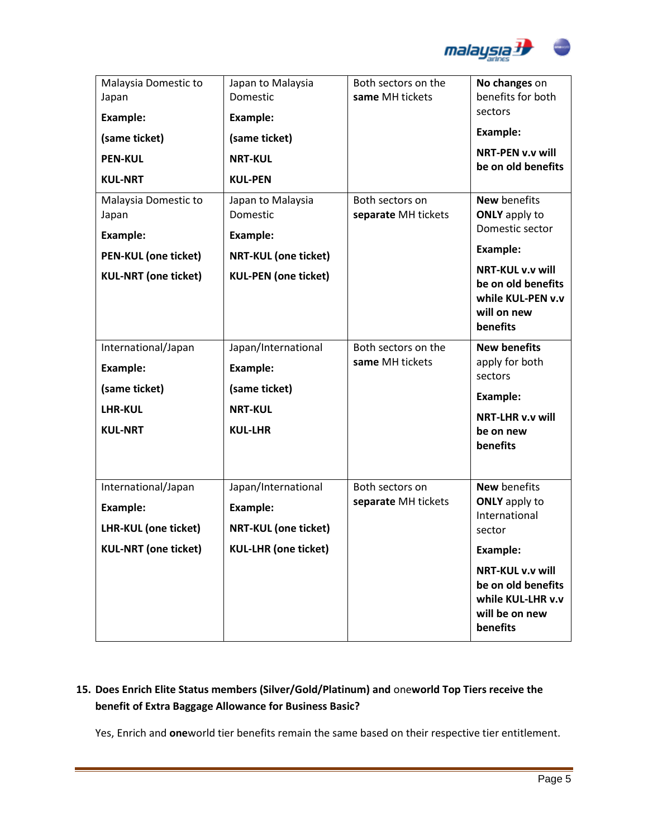

| Malaysia Domestic to<br>Japan | Japan to Malaysia<br>Domestic | Both sectors on the<br>same MH tickets | No changes on<br>benefits for both                                                            |
|-------------------------------|-------------------------------|----------------------------------------|-----------------------------------------------------------------------------------------------|
| <b>Example:</b>               | Example:                      |                                        | sectors                                                                                       |
| (same ticket)                 | (same ticket)                 |                                        | Example:                                                                                      |
| <b>PEN-KUL</b>                | <b>NRT-KUL</b>                |                                        | <b>NRT-PEN v.v will</b><br>be on old benefits                                                 |
| <b>KUL-NRT</b>                | <b>KUL-PEN</b>                |                                        |                                                                                               |
| Malaysia Domestic to<br>Japan | Japan to Malaysia<br>Domestic | Both sectors on<br>separate MH tickets | <b>New benefits</b><br><b>ONLY</b> apply to<br>Domestic sector                                |
| <b>Example:</b>               | <b>Example:</b>               |                                        |                                                                                               |
| <b>PEN-KUL (one ticket)</b>   | <b>NRT-KUL (one ticket)</b>   |                                        | <b>Example:</b>                                                                               |
| <b>KUL-NRT (one ticket)</b>   | <b>KUL-PEN</b> (one ticket)   |                                        | <b>NRT-KUL v.v will</b><br>be on old benefits<br>while KUL-PEN v.v<br>will on new<br>benefits |
| International/Japan           | Japan/International           | Both sectors on the                    | <b>New benefits</b>                                                                           |
| <b>Example:</b>               | <b>Example:</b>               | same MH tickets                        | apply for both<br>sectors                                                                     |
| (same ticket)                 | (same ticket)                 |                                        | <b>Example:</b>                                                                               |
| <b>LHR-KUL</b>                | <b>NRT-KUL</b>                |                                        | <b>NRT-LHR v.v will</b>                                                                       |
| <b>KUL-NRT</b>                | <b>KUL-LHR</b>                |                                        | be on new<br>benefits                                                                         |
| International/Japan           | Japan/International           | Both sectors on                        | <b>New benefits</b>                                                                           |
| <b>Example:</b>               | <b>Example:</b>               | separate MH tickets                    | <b>ONLY</b> apply to<br>International                                                         |
| <b>LHR-KUL (one ticket)</b>   | <b>NRT-KUL (one ticket)</b>   |                                        | sector                                                                                        |
| <b>KUL-NRT (one ticket)</b>   | <b>KUL-LHR (one ticket)</b>   |                                        | <b>Example:</b>                                                                               |
|                               |                               |                                        | NRT-KUL v.v will<br>be on old benefits<br>while KUL-LHR v.v<br>will be on new<br>benefits     |

# **15. Does Enrich Elite Status members (Silver/Gold/Platinum) and** one**world Top Tiers receive the benefit of Extra Baggage Allowance for Business Basic?**

Yes, Enrich and **one**world tier benefits remain the same based on their respective tier entitlement.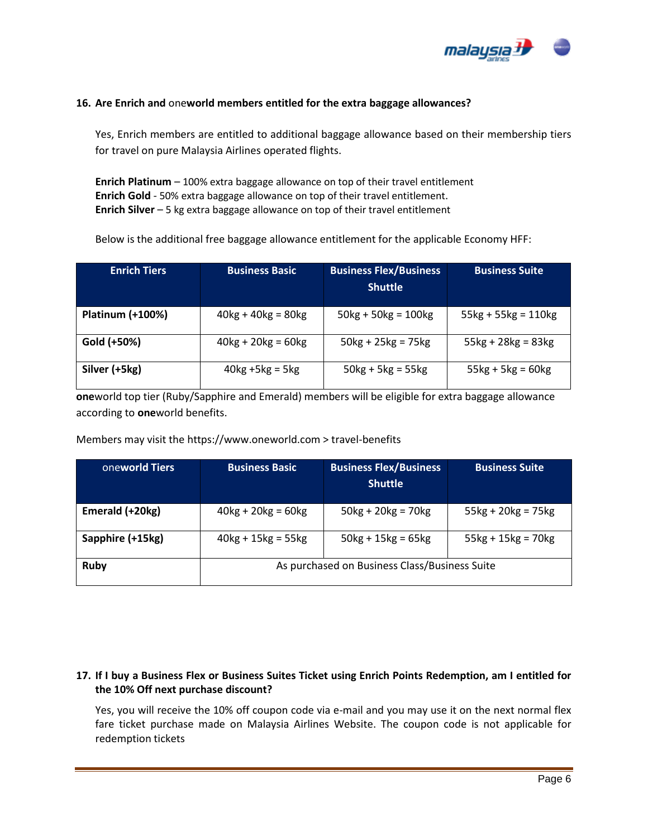

### **16. Are Enrich and** one**world members entitled for the extra baggage allowances?**

Yes, Enrich members are entitled to additional baggage allowance based on their membership tiers for travel on pure Malaysia Airlines operated flights.

**Enrich Platinum** – 100% extra baggage allowance on top of their travel entitlement **Enrich Gold** - 50% extra baggage allowance on top of their travel entitlement. **Enrich Silver** – 5 kg extra baggage allowance on top of their travel entitlement

Below is the additional free baggage allowance entitlement for the applicable Economy HFF:

| <b>Enrich Tiers</b> | <b>Business Basic</b> | <b>Business Flex/Business</b> | <b>Business Suite</b> |
|---------------------|-----------------------|-------------------------------|-----------------------|
|                     |                       | <b>Shuttle</b>                |                       |
| Platinum (+100%)    | $40kg + 40kg = 80kg$  | $50kg + 50kg = 100kg$         | $55kg + 55kg = 110kg$ |
| Gold (+50%)         | $40kg + 20kg = 60kg$  | $50kg + 25kg = 75kg$          | $55kg + 28kg = 83kg$  |
| Silver (+5kg)       | $40kg + 5kg = 5kg$    | $50kg + 5kg = 55kg$           | $55kg + 5kg = 60kg$   |

**one**world top tier (Ruby/Sapphire and Emerald) members will be eligible for extra baggage allowance according to **one**world benefits.

Members may visit the https://www.oneworld.com > travel-benefits

| oneworld Tiers   | <b>Business Basic</b>                         | <b>Business Flex/Business</b><br><b>Shuttle</b> | <b>Business Suite</b> |
|------------------|-----------------------------------------------|-------------------------------------------------|-----------------------|
| Emerald (+20kg)  | $40kg + 20kg = 60kg$                          | $50kg + 20kg = 70kg$                            | $55kg + 20kg = 75kg$  |
| Sapphire (+15kg) | $40kg + 15kg = 55kg$                          | $50kg + 15kg = 65kg$                            | $55kg + 15kg = 70kg$  |
| Ruby             | As purchased on Business Class/Business Suite |                                                 |                       |

# **17. If I buy a Business Flex or Business Suites Ticket using Enrich Points Redemption, am I entitled for the 10% Off next purchase discount?**

Yes, you will receive the 10% off coupon code via e-mail and you may use it on the next normal flex fare ticket purchase made on Malaysia Airlines Website. The coupon code is not applicable for redemption tickets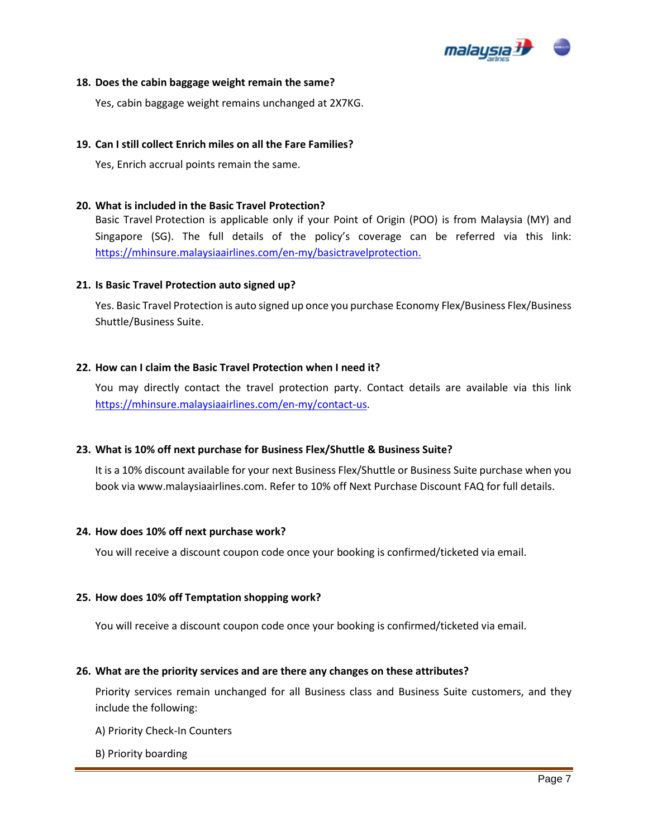

#### **18. Does the cabin baggage weight remain the same?**

Yes, cabin baggage weight remains unchanged at 2X7KG.

### **19. Can I still collect Enrich miles on all the Fare Families?**

Yes, Enrich accrual points remain the same.

### **20. What is included in the Basic Travel Protection?**

Basic Travel Protection is applicable only if your Point of Origin (POO) is from Malaysia (MY) and Singapore (SG). The full details of the policy's coverage can be referred via this link: [https://mhinsure.malaysiaairlines.com/en-my/basictravelprotection.](https://mhinsure.malaysiaairlines.com/en-my/basictravelprotection)

### **21. Is Basic Travel Protection auto signed up?**

Yes. Basic Travel Protection is auto signed up once you purchase Economy Flex/Business Flex/Business Shuttle/Business Suite.

### **22. How can I claim the Basic Travel Protection when I need it?**

You may directly contact the travel protection party. Contact details are available via this link [https://mhinsure.malaysiaairlines.com/en-my/contact-us.](https://mhinsure.malaysiaairlines.com/en-my/contact-us)

# **23. What is 10% off next purchase for Business Flex/Shuttle & Business Suite?**

It is a 10% discount available for your next Business Flex/Shuttle or Business Suite purchase when you book via www.malaysiaairlines.com. Refer to 10% off Next Purchase Discount FAQ for full details.

#### **24. How does 10% off next purchase work?**

You will receive a discount coupon code once your booking is confirmed/ticketed via email.

#### **25. How does 10% off Temptation shopping work?**

You will receive a discount coupon code once your booking is confirmed/ticketed via email.

#### **26. What are the priority services and are there any changes on these attributes?**

Priority services remain unchanged for all Business class and Business Suite customers, and they include the following:

- A) Priority Check-In Counters
- B) Priority boarding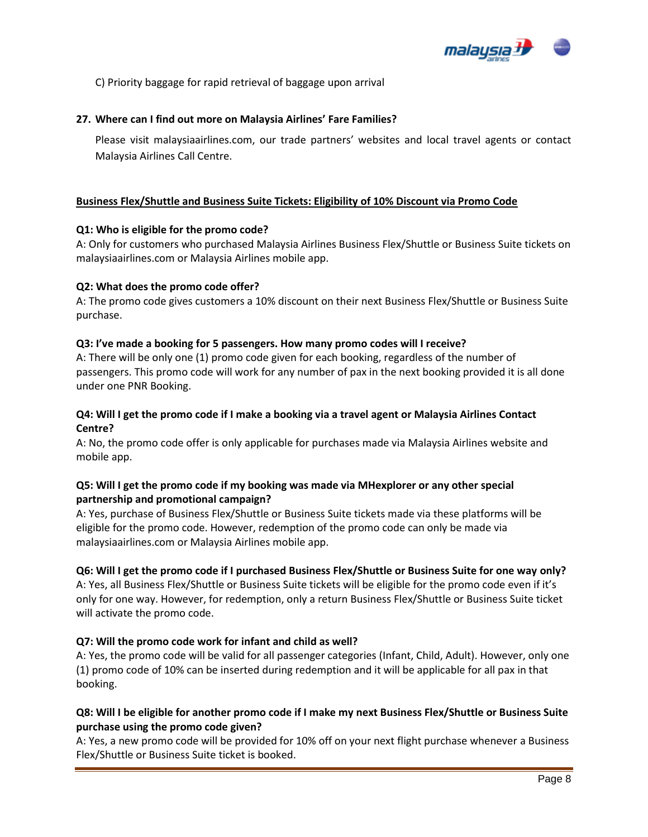

C) Priority baggage for rapid retrieval of baggage upon arrival

### **27. Where can I find out more on Malaysia Airlines' Fare Families?**

Please visit malaysiaairlines.com, our trade partners' websites and local travel agents or contact Malaysia Airlines Call Centre.

### **Business Flex/Shuttle and Business Suite Tickets: Eligibility of 10% Discount via Promo Code**

### **Q1: Who is eligible for the promo code?**

A: Only for customers who purchased Malaysia Airlines Business Flex/Shuttle or Business Suite tickets on malaysiaairlines.com or Malaysia Airlines mobile app.

### **Q2: What does the promo code offer?**

A: The promo code gives customers a 10% discount on their next Business Flex/Shuttle or Business Suite purchase.

### **Q3: I've made a booking for 5 passengers. How many promo codes will I receive?**

A: There will be only one (1) promo code given for each booking, regardless of the number of passengers. This promo code will work for any number of pax in the next booking provided it is all done under one PNR Booking.

# **Q4: Will I get the promo code if I make a booking via a travel agent or Malaysia Airlines Contact Centre?**

A: No, the promo code offer is only applicable for purchases made via Malaysia Airlines website and mobile app.

# **Q5: Will I get the promo code if my booking was made via MHexplorer or any other special partnership and promotional campaign?**

A: Yes, purchase of Business Flex/Shuttle or Business Suite tickets made via these platforms will be eligible for the promo code. However, redemption of the promo code can only be made via malaysiaairlines.com or Malaysia Airlines mobile app.

# **Q6: Will I get the promo code if I purchased Business Flex/Shuttle or Business Suite for one way only?**

A: Yes, all Business Flex/Shuttle or Business Suite tickets will be eligible for the promo code even if it's only for one way. However, for redemption, only a return Business Flex/Shuttle or Business Suite ticket will activate the promo code.

# **Q7: Will the promo code work for infant and child as well?**

A: Yes, the promo code will be valid for all passenger categories (Infant, Child, Adult). However, only one (1) promo code of 10% can be inserted during redemption and it will be applicable for all pax in that booking.

# **Q8: Will I be eligible for another promo code if I make my next Business Flex/Shuttle or Business Suite purchase using the promo code given?**

A: Yes, a new promo code will be provided for 10% off on your next flight purchase whenever a Business Flex/Shuttle or Business Suite ticket is booked.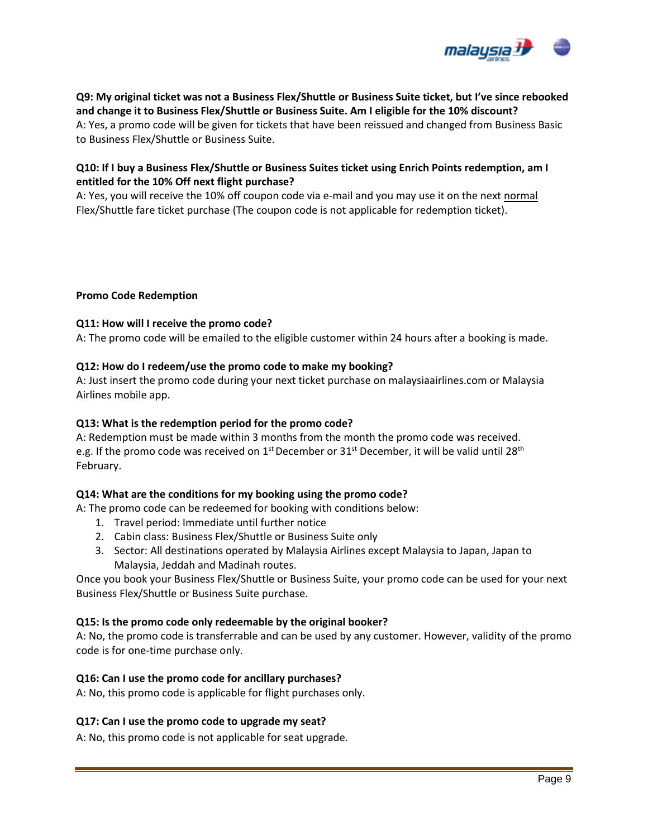

# **Q9: My original ticket was not a Business Flex/Shuttle or Business Suite ticket, but I've since rebooked and change it to Business Flex/Shuttle or Business Suite. Am I eligible for the 10% discount?**

A: Yes, a promo code will be given for tickets that have been reissued and changed from Business Basic to Business Flex/Shuttle or Business Suite.

# **Q10: If I buy a Business Flex/Shuttle or Business Suites ticket using Enrich Points redemption, am I entitled for the 10% Off next flight purchase?**

A: Yes, you will receive the 10% off coupon code via e-mail and you may use it on the next normal Flex/Shuttle fare ticket purchase (The coupon code is not applicable for redemption ticket).

### **Promo Code Redemption**

### **Q11: How will I receive the promo code?**

A: The promo code will be emailed to the eligible customer within 24 hours after a booking is made.

### **Q12: How do I redeem/use the promo code to make my booking?**

A: Just insert the promo code during your next ticket purchase on malaysiaairlines.com or Malaysia Airlines mobile app.

### **Q13: What is the redemption period for the promo code?**

A: Redemption must be made within 3 months from the month the promo code was received. e.g. If the promo code was received on 1<sup>st</sup> December or 31<sup>st</sup> December, it will be valid until 28<sup>th</sup> February.

# **Q14: What are the conditions for my booking using the promo code?**

A: The promo code can be redeemed for booking with conditions below:

- 1. Travel period: Immediate until further notice
- 2. Cabin class: Business Flex/Shuttle or Business Suite only
- 3. Sector: All destinations operated by Malaysia Airlines except Malaysia to Japan, Japan to Malaysia, Jeddah and Madinah routes.

Once you book your Business Flex/Shuttle or Business Suite, your promo code can be used for your next Business Flex/Shuttle or Business Suite purchase.

#### **Q15: Is the promo code only redeemable by the original booker?**

A: No, the promo code is transferrable and can be used by any customer. However, validity of the promo code is for one-time purchase only.

#### **Q16: Can I use the promo code for ancillary purchases?**

A: No, this promo code is applicable for flight purchases only.

#### **Q17: Can I use the promo code to upgrade my seat?**

A: No, this promo code is not applicable for seat upgrade.